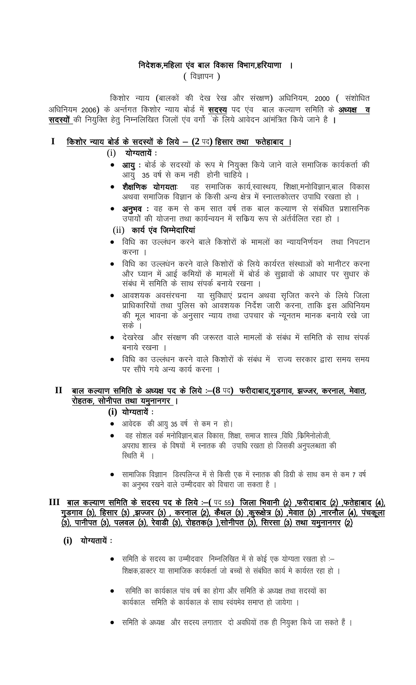## निदेशक,महिला एंव बाल विकास विभाग,हरियाणा ।

 $($  विज्ञापन $)$ 

किशोर न्याय (बालकों की देख रेख और संरक्षण) अधिनियम, 2000 (संशोधित अधिनियम 2006) के अर्न्तगत किशोर न्याय बोर्ड में **सदस्य** पद एंव) बाल कल्याण समिति के <u>अध्यक्ष व</u> सदस्यों की नियुक्ति हेतू निम्नलिखित जिलों एंव वर्गो के लिये आवेदन आंमंत्रित किये जाने है ।

#### $\mathbf I$ किशोर न्याय बोर्ड के सदस्यों के लिये - (2 पद) हिसार तथा फतेहाबाद।

- $(i)$  योग्यतायें:
	- आयु : बोर्ड के सदस्यों के रूप मे नियुक्त किये जाने वाले समाजिक कार्यकर्ता की आयु 35 वर्ष से कम नही होनी चाहिये ।
	- शैक्षणिक योगयताः वह समाजिक कार्य,स्वास्थय, शिक्षा,मनोविज्ञान,बाल विकास अथवा समाजिक विज्ञान के किसी अन्य क्षेत्र में स्नात्तकोत्तर उपाधि रखता हो ।
	- अनुभव : वह कम से कम सात वर्ष तक बाल कल्याण से संबंधित प्रशासनिक उपायों की योजना तथा कार्यन्वयन में सकिय रूप से अंर्तर्वलित रहा हो ।
	- (ii) कार्य एंव जिम्मेदारियां
	- विधि का उल्लंधन करने बाले किशोरों के मामलों का न्यायनिर्णयन) तथा निपटान करना ।
	- विधि का उल्लधन करने वाले किशोरों के लिये कार्यरत संस्थाओं को मानीटर करना और घ्यान में आई कमियों के मामलों में बोर्ड के सुझावों के आधार पर सुधार के संबंध में समिति के साथ संपर्क बनाये रखना ।
	- आवशयक अवसंरचना या सुविधाएं प्रदान अथवा सृजित करने के लिये जिला प्राधिकारियों तथा पुलिस को आवशयक निर्देश जारी करना, ताकि इस अधिनियम की मूल भावना के अनुसार न्याय तथा उपचार के न्यूनतम मानक बनाये रखे जा सके ।
	- देखरेख) और संरक्षण की जरूरत वाले मामलों के संबंध में समिति के साथ संपर्क बनाये रखना ।
	- विधि का उल्लंधन करने वाले किशोरों के संबंध में राज्य सरकार द्वारा समय समय पर सौंपे गये अन्य कार्य करना ।

#### $\mathbf{I}$ बाल कल्याण समिति के अध्यक्ष पद के लिये :-(8 पद) फरीदाबाद,गुडगाव, झज्जर, करनाल, मेवात, रोहतक, सोनीपत तथा यमुनानगर ।

 $(i)$  योग्यतायें:

- आवेदक की आयु 35 वर्ष से कम न हो।
- वह सोशल वर्क मनोविज्ञान,बाल विकास, शिक्षा, समाज शास्त्र ,विधि ,किमिनोलोजी, अपराध शास्त्र के विषयों में स्नातक की उपाधि रखता हो जिसकी अनुपलब्धता की रिशति में ।
- सामाजिक विज्ञाान) डिस्पलिन्ज में से किसी एक में स्नातक की डिग्री के साथ कम से कम 7 वर्ष का अनुभव रखने वाले उम्मीदवार को विचारा जा सकता है ।

## III बाल कल्याण समिति के सदस्य पद के लिये :- (पद 55) जिला भिवानी (2) ,फरीदाबाद (2) ,फतेहाबाद (4), गुड़गाव (3), हिसार (3) ,झज्जर (3) , करनाल (2), कैथल (3) ,कुरूक्षेत्र (3) ,मेवात (3) ,नारनौल (4), पंचकूला (3), पानीपत (3), पलवल (3), रेवाडी (3), रोहतक(3),सोनीपत (3), सिरसा (3) तथा यमुनानगर (2)

- (i) योग्यतायें:
	- समिति के सदस्य का उम्मीदवार) निम्नलिखित में से कोई एक योग्यता रखता हो :– शिक्षक डाक्टर या सामाजिक कार्यकर्ता जो बच्चों से संबंधित कार्य मे कार्यरत रहा हो ।
	- समिति का कार्यकाल पांच वर्ष का होगा और समिति के अध्यक्ष तथा सदस्यों का  $\bullet$ कार्यकाल समिति के कार्यकाल के साथ स्वयमेव समाप्त हो जायेगा ।
	- समिति के अध्यक्ष और सदस्य लगातार दो अवधियों तक ही नियुक्त किये जा सकते हैं ।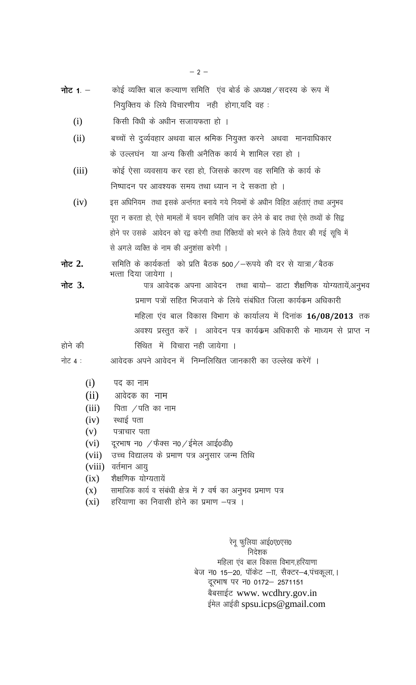- नोट $1 -$ कोई व्यक्ति बाल कल्याण समिति एंव बोर्ड के अध्यक्ष / सदस्य के रूप में नियुक्तिय के लिये विचारणीय नही होगा,यदि वह:
	- किसी विधी के अधीन सजायफता हो ।  $(i)$
	- $(ii)$ बच्चों से दुर्व्यवहार अथवा बाल श्रमिक नियुक्त करने अथवा मानवाधिकार के उल्लघंन या अन्य किसी अनैतिक कार्य मे शामिल रहा हो ।
	- कोई ऐसा व्यवसाय कर रहा हो, जिसके कारण वह समिति के कार्य के  $(iii)$ निष्पादन पर आवश्यक समय तथा ध्यान न दे सकता हो ।
	- इस अधिनियम) तथा इसके अर्न्तगत बनाये गये नियमों के अधीन विहित अर्हताएं तथा अनुभव  $(iv)$ पूरा न करता हो, ऐसे मामलों में चयन समिति जांच कर लेने के बाद तथा ऐसे तथ्यों के सिद्व होने पर उसके आवेदन को रद्व करेगी तथा रिक्तियों को भरने के लिये तैयार की गई सूचि में से अगले व्यक्ति के नाम की अनुशंसा करेगी ।
- नोट 2. समिति के कार्यकर्ता को प्रति बैठक 500 / - रूपये की दर से यात्रा / बैठक भत्ता दिया जायेगा ।
- पात्र आवेदक अपना आवेदन तथा बायो- डाटा शैक्षणिक योग्यतायें,अनुभव नोट 3. प्रमाण पत्रों सहित भिजवाने के लिये संबंधित जिला कार्यक्रम अधिकारी महिला एंव बाल विकास विभाग के कार्यालय में दिनांक 16/08/2013 तक अवश्य प्रस्तुत करें । आवेदन पत्र कार्यक्रम अधिकारी के माध्यम से प्राप्त न सिथित में विचारा नही जायेगा ।

होने की

नोट 4 : आवेदक अपने आवेदन में निम्नलिखित जानकारी का उल्लेख करेगें ।

- पद का नाम  $(i)$
- आवेदक का नाम  $(ii)$
- $(iii)$ पिता  $/$ पति का नाम
- स्थाई पता  $(iv)$
- $(v)$ पत्राचार पता
- दूरभाष न0 /फेक्स न0 /ईमेल आई0डी0  $(vi)$
- उच्च विद्यालय के प्रमाण पत्र अनुसार जन्म तिथि  $(vii)$
- $(viii)$ वर्तमान आयु
- शैक्षणिक योग्यतायें  $(ix)$
- सामाजिक कार्य व संबंधी क्षेत्र में 7 वर्ष का अनुभव प्रमाण पत्र  $(X)$
- $(xi)$ हरियाणा का निवासी होने का प्रमाण –पत्र ।

रेनू फुलिया आई0ए0एस0 निदेशक महिला एंव बाल विकास विभाग,हरियाणा बेज न0 15–20, पॉकेट –ाा, सैक्टर–4,पंचकूला, । दूरभाष पर न0 0172- 2571151 बैबसाईट www. wcdhry.gov.in ईमेल आईडी spsu.icps@gmail.com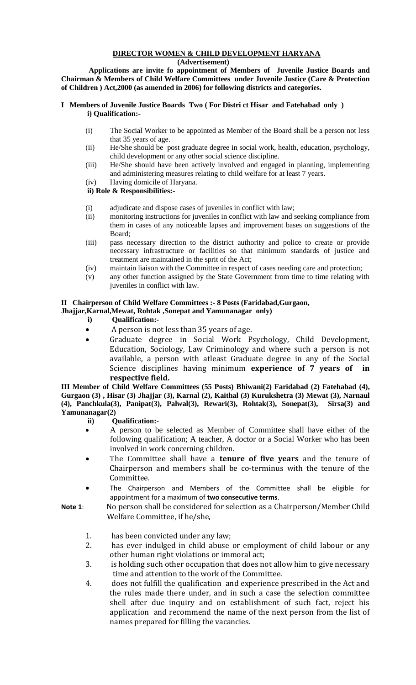# **DIRECTOR WOMEN & CHILD DEVELOPMENT HARYANA**

 **(Advertisement)**

 **Applications are invite fo appointment of Members of Juvenile Justice Boards and Chairman & Members of Child Welfare Committees under Juvenile Justice (Care & Protection of Children ) Act,2000 (as amended in 2006) for following districts and categories.** 

### **I Members of Juvenile Justice Boards Two ( For Distri ct Hisar and Fatehabad only ) i) Qualification:-**

- (i) The Social Worker to be appointed as Member of the Board shall be a person not less that 35 years of age.
- (ii) He/She should be post graduate degree in social work, health, education, psychology, child development or any other social science discipline.
- (iii) He/She should have been actively involved and engaged in planning, implementing and administering measures relating to child welfare for at least 7 years.
- (iv) Having domicile of Haryana.

## **ii) Role & Responsibilities:-**

- (i) adjudicate and dispose cases of juveniles in conflict with law;
- (ii) monitoring instructions for juveniles in conflict with law and seeking compliance from them in cases of any noticeable lapses and improvement bases on suggestions of the Board;
- (iii) pass necessary direction to the district authority and police to create or provide necessary infrastructure or facilities so that minimum standards of justice and treatment are maintained in the sprit of the Act;
- (iv) maintain liaison with the Committee in respect of cases needing care and protection;
- (v) any other function assigned by the State Government from time to time relating with juveniles in conflict with law.

## **II Chairperson of Child Welfare Committees :- 8 Posts (Faridabad,Gurgaon,**

## **Jhajjar,Karnal,Mewat, Rohtak ,Sonepat and Yamunanagar only)**

- **i) Qualification:-**
- A person is not less than 35 years of age.
- Graduate degree in Social Work Psychology, Child Development, Education, Sociology, Law Criminology and where such a person is not available, a person with atleast Graduate degree in any of the Social Science disciplines having minimum **experience of 7 years of in respective field.**

**III Member of Child Welfare Committees (55 Posts) Bhiwani(2) Faridabad (2) Fatehabad (4), Gurgaon (3) , Hisar (3) Jhajjar (3), Karnal (2), Kaithal (3) Kurukshetra (3) Mewat (3), Narnaul (4), Panchkula(3), Panipat(3), Palwal(3), Rewari(3), Rohtak(3), Sonepat(3), Sirsa(3) and Yamunanagar(2)** 

- **ii) Qualification:-**
- A person to be selected as Member of Committee shall have either of the following qualification; A teacher, A doctor or a Social Worker who has been involved in work concerning children.
- The Committee shall have a **tenure of five years** and the tenure of Chairperson and members shall be co-terminus with the tenure of the Committee.
- The Chairperson and Members of the Committee shall be eligible for appointment for a maximum of **two consecutive terms**.
- **Note 1**: No person shall be considered for selection as a Chairperson/Member Child Welfare Committee, if he/she,
	- 1. has been convicted under any law;
	- 2. has ever indulged in child abuse or employment of child labour or any other human right violations or immoral act;
	- 3. is holding such other occupation that does not allow him to give necessary time and attention to the work of the Committee.
	- 4. does not fulfill the qualification and experience prescribed in the Act and the rules made there under, and in such a case the selection committee shell after due inquiry and on establishment of such fact, reject his application and recommend the name of the next person from the list of names prepared for filling the vacancies.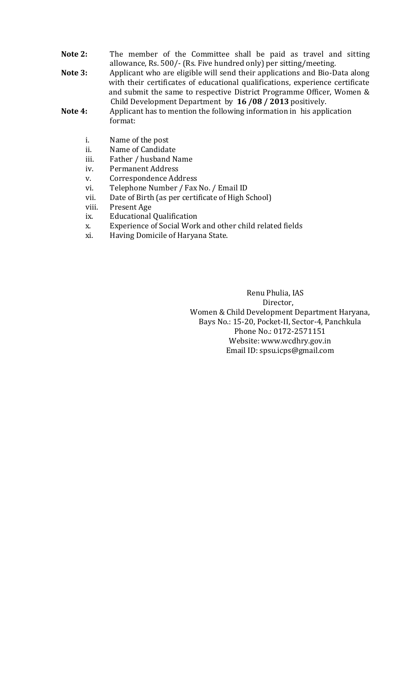- **Note 2:** The member of the Committee shall be paid as travel and sitting allowance, Rs. 500/- (Rs. Five hundred only) per sitting/meeting.
- **Note 3:** Applicant who are eligible will send their applications and Bio-Data along with their certificates of educational qualifications, experience certificate and submit the same to respective District Programme Officer, Women &
- **Note 4:** Child Development Department by **16 /08 / 2013** positively.<br>**Note 4:** Applicant has to mention the following information in his appl **Note 4:** Applicant has to mention the following information in his application format:
	- i. Name of the post
	- ii. Name of Candidate
	- iii. Father / husband Name
	- iv. Permanent Address
	- v. Correspondence Address<br>vi. Telephone Number / Fax
	- Telephone Number / Fax No. / Email ID
	- vii. Date of Birth (as per certificate of High School)
	- viii. Present Age
	- ix. Educational Qualification
	- x. Experience of Social Work and other child related fields
	- xi. Having Domicile of Haryana State.

 Renu Phulia, IAS Director, Women & Child Development Department Haryana, Bays No.: 15-20, Pocket-II, Sector-4, Panchkula Phone No.: 0172-2571151 Website: www.wcdhry.gov.in Email ID: spsu.icps@gmail.com